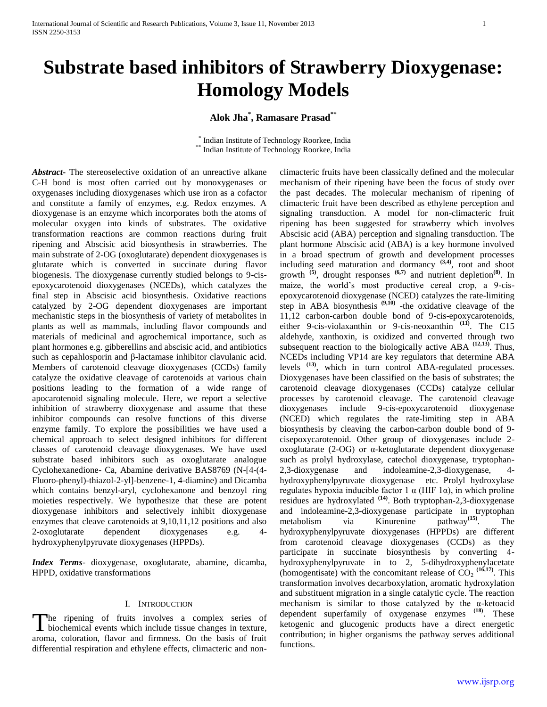# **Substrate based inhibitors of Strawberry Dioxygenase: Homology Models**

# **Alok Jha\* , Ramasare Prasad\*\***

 \* Indian Institute of Technology Roorkee, India \*\* Indian Institute of Technology Roorkee, India

*Abstract***-** The stereoselective oxidation of an unreactive alkane C-H bond is most often carried out by monoxygenases or oxygenases including dioxygenases which use iron as a cofactor and constitute a family of enzymes, e.g. Redox enzymes. A dioxygenase is an enzyme which incorporates both the atoms of molecular oxygen into kinds of substrates. The oxidative transformation reactions are common reactions during fruit ripening and Abscisic acid biosynthesis in strawberries. The main substrate of 2-OG (oxoglutarate) dependent dioxygenases is glutarate which is converted in succinate during flavor biogenesis. The dioxygenase currently studied belongs to 9-cisepoxycarotenoid dioxygenases (NCEDs), which catalyzes the final step in Abscisic acid biosynthesis. Oxidative reactions catalyzed by 2-OG dependent dioxygenases are important mechanistic steps in the biosynthesis of variety of metabolites in plants as well as mammals, including flavor compounds and materials of medicinal and agrochemical importance, such as plant hormones e.g. gibberellins and abscisic acid, and antibiotics such as cepahlosporin and β-lactamase inhibitor clavulanic acid. Members of carotenoid cleavage dioxygenases (CCDs) family catalyze the oxidative cleavage of carotenoids at various chain positions leading to the formation of a wide range of apocarotenoid signaling molecule. Here, we report a selective inhibition of strawberry dioxygenase and assume that these inhibitor compounds can resolve functions of this diverse enzyme family. To explore the possibilities we have used a chemical approach to select designed inhibitors for different classes of carotenoid cleavage dioxygenases. We have used substrate based inhibitors such as oxoglutarate analogue Cyclohexanedione- Ca, Abamine derivative BAS8769 (N-[4-(4- Fluoro-phenyl)-thiazol-2-yl]-benzene-1, 4-diamine) and Dicamba which contains benzyl-aryl, cyclohexanone and benzoyl ring moieties respectively. We hypothesize that these are potent dioxygenase inhibitors and selectively inhibit dioxygenase enzymes that cleave carotenoids at 9,10,11,12 positions and also 2-oxoglutarate dependent dioxygenases e.g. 4 hydroxyphenylpyruvate dioxygenases (HPPDs).

*Index Terms*- dioxygenase, oxoglutarate, abamine, dicamba, HPPD, oxidative transformations

#### I. INTRODUCTION

he ripening of fruits involves a complex series of The ripening of fruits involves a complex series of biochemical events which include tissue changes in texture, aroma, coloration, flavor and firmness. On the basis of fruit differential respiration and ethylene effects, climacteric and nonclimacteric fruits have been classically defined and the molecular mechanism of their ripening have been the focus of study over the past decades. The molecular mechanism of ripening of climacteric fruit have been described as ethylene perception and signaling transduction. A model for non-climacteric fruit ripening has been suggested for strawberry which involves Abscisic acid (ABA) perception and signaling transduction. The plant hormone Abscisic acid (ABA) is a key hormone involved in a broad spectrum of growth and development processes including seed maturation and dormancy  $(3,4)$ , root and shoot growth **(5)** , drought responses **(6,7)** and nutrient depletion**(8)**. In maize, the world's most productive cereal crop, a 9-cisepoxycarotenoid dioxygenase (NCED) catalyzes the rate-limiting step in ABA biosynthesis **(9,10)** -the oxidative cleavage of the 11,12 carbon-carbon double bond of 9-cis-epoxycarotenoids, either 9-cis-violaxanthin or 9-cis-neoxanthin **(11)**. The C15 aldehyde, xanthoxin, is oxidized and converted through two subsequent reaction to the biologically active ABA  $(12,13)$ . Thus, NCEDs including VP14 are key regulators that determine ABA levels **(13)**, which in turn control ABA-regulated processes. Dioxygenases have been classified on the basis of substrates; the carotenoid cleavage dioxygenases (CCDs) catalyze cellular processes by carotenoid cleavage. The carotenoid cleavage dioxygenases include 9-cis-epoxycarotenoid dioxygenase (NCED) which regulates the rate-limiting step in ABA biosynthesis by cleaving the carbon-carbon double bond of 9 cisepoxycarotenoid. Other group of dioxygenases include 2 oxoglutarate (2-OG) or α-ketoglutarate dependent dioxygenase such as prolyl hydroxylase, catechol dioxygenase, tryptophan-2,3-dioxygenase and indoleamine-2,3-dioxygenase, 4 hydroxyphenylpyruvate dioxygenase etc. Prolyl hydroxylase regulates hypoxia inducible factor 1 α (HIF 1α), in which proline residues are hydroxylated **(14)** . Both tryptophan-2,3-dioxygenase and indoleamine-2,3-dioxygenase participate in tryptophan metabolism via Kinurenine pathway**(15)** . The hydroxyphenylpyruvate dioxygenases (HPPDs) are different from carotenoid cleavage dioxygenases (CCDs) as they participate in succinate biosynthesis by converting 4 hydroxyphenylpyruvate in to 2, 5-dihydroxyphenylacetate (homogentisate) with the concomitant release of  $CO_2$ <sup>(16,17)</sup>. This transformation involves decarboxylation, aromatic hydroxylation and substituent migration in a single catalytic cycle. The reaction mechanism is similar to those catalyzed by the  $\alpha$ -ketoacid dependent superfamily of oxygenase enzymes **(18)**. These ketogenic and glucogenic products have a direct energetic contribution; in higher organisms the pathway serves additional functions.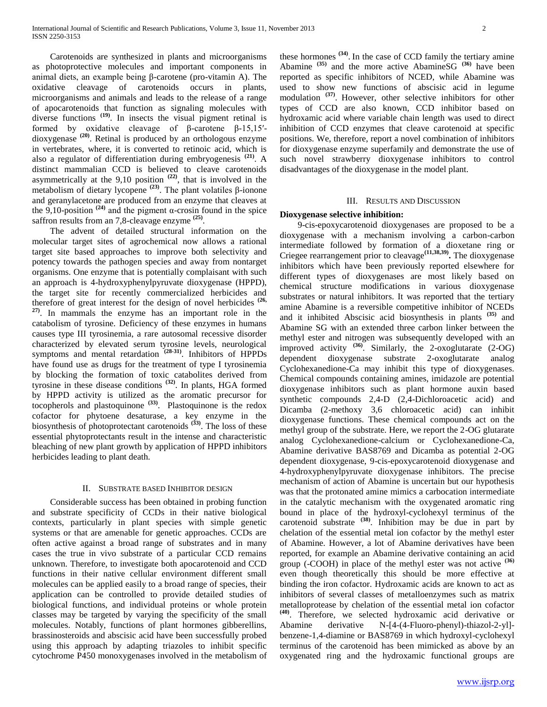Carotenoids are synthesized in plants and microorganisms as photoprotective molecules and important components in animal diets, an example being β-carotene (pro-vitamin A). The oxidative cleavage of carotenoids occurs in plants, microorganisms and animals and leads to the release of a range of apocarotenoids that function as signaling molecules with diverse functions <sup>(19)</sup>. In insects the visual pigment retinal is formed by oxidative cleavage of β-carotene β-15,15′ dioxygenase **(20)** . Retinal is produced by an orthologous enzyme in vertebrates, where, it is converted to retinoic acid, which is also a regulator of differentiation during embryogenesis **(21)** . A distinct mammalian CCD is believed to cleave carotenoids asymmetrically at the  $9,10$  position  $(22)$ , that is involved in the metabolism of dietary lycopene<sup>(23)</sup>. The plant volatiles β-ionone and geranylacetone are produced from an enzyme that cleaves at the 9,10-position  $(24)$  and the pigment α-crosin found in the spice saffron results from an 7,8-cleavage enzyme **(25)** .

 The advent of detailed structural information on the molecular target sites of agrochemical now allows a rational target site based approaches to improve both selectivity and potency towards the pathogen species and away from nontarget organisms. One enzyme that is potentially complaisant with such an approach is 4-hydroxyphenylpyruvate dioxygenase (HPPD), the target site for recently commercialized herbicides and therefore of great interest for the design of novel herbicides  $(26, 26)$ **27)**. In mammals the enzyme has an important role in the catabolism of tyrosine. Deficiency of these enzymes in humans causes type III tyrosinemia, a rare autosomal recessive disorder characterized by elevated serum tyrosine levels, neurological symptoms and mental retardation **(28-31)** . Inhibitors of HPPDs have found use as drugs for the treatment of type I tyrosinemia by blocking the formation of toxic catabolites derived from tyrosine in these disease conditions **(32)** . In plants, HGA formed by HPPD activity is utilized as the aromatic precursor for tocopherols and plastoquinone **(33)** . Plastoquinone is the redox cofactor for phytoene desaturase, a key enzyme in the biosynthesis of photoprotectant carotenoids **(33)** . The loss of these essential phytoprotectants result in the intense and characteristic bleaching of new plant growth by application of HPPD inhibitors herbicides leading to plant death.

# II. SUBSTRATE BASED INHIBITOR DESIGN

 Considerable success has been obtained in probing function and substrate specificity of CCDs in their native biological contexts, particularly in plant species with simple genetic systems or that are amenable for genetic approaches. CCDs are often active against a broad range of substrates and in many cases the true in vivo substrate of a particular CCD remains unknown. Therefore, to investigate both apocarotenoid and CCD functions in their native cellular environment different small molecules can be applied easily to a broad range of species, their application can be controlled to provide detailed studies of biological functions, and individual proteins or whole protein classes may be targeted by varying the specificity of the small molecules. Notably, functions of plant hormones gibberellins, brassinosteroids and abscisic acid have been successfully probed using this approach by adapting triazoles to inhibit specific cytochrome P450 monoxygenases involved in the metabolism of

these hormones **(34)** . In the case of CCD family the tertiary amine Abamine **(35)** and the more active AbamineSG **(36)** have been reported as specific inhibitors of NCED, while Abamine was used to show new functions of abscisic acid in legume modulation **(37)** . However, other selective inhibitors for other types of CCD are also known, CCD inhibitor based on hydroxamic acid where variable chain length was used to direct inhibition of CCD enzymes that cleave carotenoid at specific positions. We, therefore, report a novel combination of inhibitors for dioxygenase enzyme superfamily and demonstrate the use of such novel strawberry dioxygenase inhibitors to control disadvantages of the dioxygenase in the model plant.

#### III. RESULTS AND DISCUSSION

### **Dioxygenase selective inhibition:**

 9-cis-epoxycarotenoid dioxygenases are proposed to be a dioxygenase with a mechanism involving a carbon-carbon intermediate followed by formation of a dioxetane ring or Criegee rearrangement prior to cleavage**(11,38,39) .** The dioxygenase inhibitors which have been previously reported elsewhere for different types of dioxygenases are most likely based on chemical structure modifications in various dioxygenase substrates or natural inhibitors. It was reported that the tertiary amine Abamine is a reversible competitive inhibitor of NCEDs and it inhibited Abscisic acid biosynthesis in plants **(35)** and Abamine SG with an extended three carbon linker between the methyl ester and nitrogen was subsequently developed with an improved activity **(36)** . Similarly, the 2-oxoglutarate (2-OG) dependent dioxygenase substrate 2-oxoglutarate analog Cyclohexanedione-Ca may inhibit this type of dioxygenases. Chemical compounds containing amines, imidazole are potential dioxygenase inhibitors such as plant hormone auxin based synthetic compounds 2,4-D (2,4-Dichloroacetic acid) and Dicamba (2-methoxy 3,6 chloroacetic acid) can inhibit dioxygenase functions. These chemical compounds act on the methyl group of the substrate. Here, we report the 2-OG glutarate analog Cyclohexanedione-calcium or Cyclohexanedione-Ca, Abamine derivative BAS8769 and Dicamba as potential 2-OG dependent dioxygenase, 9-cis-epoxycarotenoid dioxygenase and 4-hydroxyphenylpyruvate dioxygenase inhibitors. The precise mechanism of action of Abamine is uncertain but our hypothesis was that the protonated amine mimics a carbocation intermediate in the catalytic mechanism with the oxygenated aromatic ring bound in place of the hydroxyl-cyclohexyl terminus of the carotenoid substrate **(38)** . Inhibition may be due in part by chelation of the essential metal ion cofactor by the methyl ester of Abamine. However, a lot of Abamine derivatives have been reported, for example an Abamine derivative containing an acid group (-COOH) in place of the methyl ester was not active **(36)** even though theoretically this should be more effective at binding the iron cofactor. Hydroxamic acids are known to act as inhibitors of several classes of metalloenzymes such as matrix metalloprotease by chelation of the essential metal ion cofactor **(40)**. Therefore, we selected hydroxamic acid derivative or Abamine derivative N-[4-(4-Fluoro-phenyl)-thiazol-2-yl] benzene-1,4-diamine or BAS8769 in which hydroxyl-cyclohexyl terminus of the carotenoid has been mimicked as above by an oxygenated ring and the hydroxamic functional groups are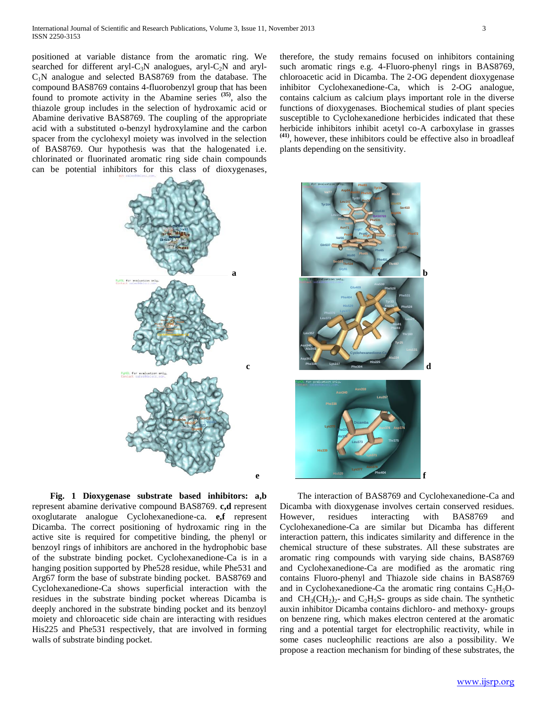positioned at variable distance from the aromatic ring. We searched for different aryl-C<sub>3</sub>N analogues, aryl-C<sub>2</sub>N and aryl- $C_1N$  analogue and selected BAS8769 from the database. The compound BAS8769 contains 4-fluorobenzyl group that has been found to promote activity in the Abamine series **(35)**, also the thiazole group includes in the selection of hydroxamic acid or Abamine derivative BAS8769. The coupling of the appropriate acid with a substituted o-benzyl hydroxylamine and the carbon spacer from the cyclohexyl moiety was involved in the selection of BAS8769. Our hypothesis was that the halogenated i.e. chlorinated or fluorinated aromatic ring side chain compounds can be potential inhibitors for this class of dioxygenases,



 **c** 

 **e** 

 **Fig. 1 Dioxygenase substrate based inhibitors: a,b** represent abamine derivative compound BAS8769. **c,d** represent oxoglutarate analogue Cyclohexanedione-ca. **e,f** represent Dicamba. The correct positioning of hydroxamic ring in the active site is required for competitive binding, the phenyl or benzoyl rings of inhibitors are anchored in the hydrophobic base of the substrate binding pocket. Cyclohexanedione-Ca is in a hanging position supported by Phe528 residue, while Phe531 and Arg67 form the base of substrate binding pocket. BAS8769 and Cyclohexanedione-Ca shows superficial interaction with the residues in the substrate binding pocket whereas Dicamba is deeply anchored in the substrate binding pocket and its benzoyl moiety and chloroacetic side chain are interacting with residues His225 and Phe531 respectively, that are involved in forming walls of substrate binding pocket.

therefore, the study remains focused on inhibitors containing such aromatic rings e.g. 4-Fluoro-phenyl rings in BAS8769, chloroacetic acid in Dicamba. The 2-OG dependent dioxygenase inhibitor Cyclohexanedione-Ca, which is 2-OG analogue, contains calcium as calcium plays important role in the diverse functions of dioxygenases. Biochemical studies of plant species susceptible to Cyclohexanedione herbicides indicated that these herbicide inhibitors inhibit acetyl co-A carboxylase in grasses **(41)**, however, these inhibitors could be effective also in broadleaf plants depending on the sensitivity.



 The interaction of BAS8769 and Cyclohexanedione-Ca and Dicamba with dioxygenase involves certain conserved residues. However, residues interacting with BAS8769 and Cyclohexanedione-Ca are similar but Dicamba has different interaction pattern, this indicates similarity and difference in the chemical structure of these substrates. All these substrates are aromatic ring compounds with varying side chains, BAS8769 and Cyclohexanedione-Ca are modified as the aromatic ring contains Fluoro-phenyl and Thiazole side chains in BAS8769 and in Cyclohexanedione-Ca the aromatic ring contains  $C_2H_5O$ and  $CH_3(CH_2)_2$ - and  $C_2H_5S$ - groups as side chain. The synthetic auxin inhibitor Dicamba contains dichloro- and methoxy- groups on benzene ring, which makes electron centered at the aromatic ring and a potential target for electrophilic reactivity, while in some cases nucleophilic reactions are also a possibility. We propose a reaction mechanism for binding of these substrates, the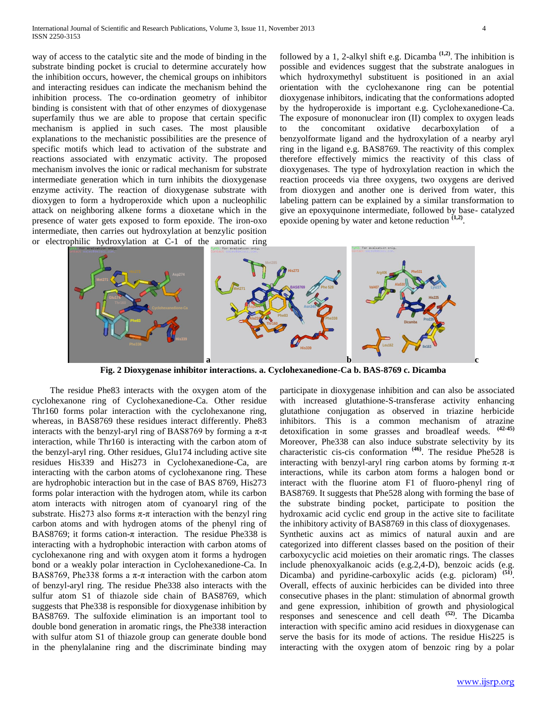way of access to the catalytic site and the mode of binding in the substrate binding pocket is crucial to determine accurately how the inhibition occurs, however, the chemical groups on inhibitors and interacting residues can indicate the mechanism behind the inhibition process. The co-ordination geometry of inhibitor binding is consistent with that of other enzymes of dioxygenase superfamily thus we are able to propose that certain specific mechanism is applied in such cases. The most plausible explanations to the mechanistic possibilities are the presence of specific motifs which lead to activation of the substrate and reactions associated with enzymatic activity. The proposed mechanism involves the ionic or radical mechanism for substrate intermediate generation which in turn inhibits the dioxygenase enzyme activity. The reaction of dioxygenase substrate with dioxygen to form a hydroperoxide which upon a nucleophilic attack on neighboring alkene forms a dioxetane which in the presence of water gets exposed to form epoxide. The iron-oxo intermediate, then carries out hydroxylation at benzylic position or electrophilic hydroxylation at C-1 of the aromatic ring

followed by a 1, 2-alkyl shift e.g. Dicamba **(1,2)** . The inhibition is possible and evidences suggest that the substrate analogues in which hydroxymethyl substituent is positioned in an axial orientation with the cyclohexanone ring can be potential dioxygenase inhibitors, indicating that the conformations adopted by the hydroperoxide is important e.g. Cyclohexanedione-Ca. The exposure of mononuclear iron (II) complex to oxygen leads to the concomitant oxidative decarboxylation of a benzyolformate ligand and the hydroxylation of a nearby aryl ring in the ligand e.g. BAS8769. The reactivity of this complex therefore effectively mimics the reactivity of this class of dioxygenases. The type of hydroxylation reaction in which the reaction proceeds via three oxygens, two oxygens are derived from dioxygen and another one is derived from water, this labeling pattern can be explained by a similar transformation to give an epoxyquinone intermediate, followed by base- catalyzed epoxide opening by water and ketone reduction  $(1,2)$ .



**Fig. 2 Dioxygenase inhibitor interactions. a. Cyclohexanedione-Ca b. BAS-8769 c. Dicamba**

 The residue Phe83 interacts with the oxygen atom of the cyclohexanone ring of Cyclohexanedione-Ca. Other residue Thr160 forms polar interaction with the cyclohexanone ring, whereas, in BAS8769 these residues interact differently. Phe83 interacts with the benzyl-aryl ring of BAS8769 by forming a  $\pi$ - $\pi$ interaction, while Thr160 is interacting with the carbon atom of the benzyl-aryl ring. Other residues, Glu174 including active site residues His339 and His273 in Cyclohexanedione-Ca, are interacting with the carbon atoms of cyclohexanone ring. These are hydrophobic interaction but in the case of BAS 8769, His273 forms polar interaction with the hydrogen atom, while its carbon atom interacts with nitrogen atom of cyanoaryl ring of the substrate. His 273 also forms  $\pi$ - $\pi$  interaction with the benzyl ring carbon atoms and with hydrogen atoms of the phenyl ring of BAS8769; it forms cation- $\pi$  interaction. The residue Phe338 is interacting with a hydrophobic interaction with carbon atoms of cyclohexanone ring and with oxygen atom it forms a hydrogen bond or a weakly polar interaction in Cyclohexanedione-Ca. In BAS8769, Phe338 forms a  $\pi$ - $\pi$  interaction with the carbon atom of benzyl-aryl ring. The residue Phe338 also interacts with the sulfur atom S1 of thiazole side chain of BAS8769, which suggests that Phe338 is responsible for dioxygenase inhibition by BAS8769. The sulfoxide elimination is an important tool to double bond generation in aromatic rings, the Phe338 interaction with sulfur atom S1 of thiazole group can generate double bond in the phenylalanine ring and the discriminate binding may

participate in dioxygenase inhibition and can also be associated with increased glutathione-S-transferase activity enhancing glutathione conjugation as observed in triazine herbicide inhibitors. This is a common mechanism of atrazine detoxification in some grasses and broadleaf weeds. **(42-45)** Moreover, Phe338 can also induce substrate selectivity by its characteristic cis-cis conformation **(46)** . The residue Phe528 is interacting with benzyl-aryl ring carbon atoms by forming  $\pi$ - $\pi$ interactions, while its carbon atom forms a halogen bond or interact with the fluorine atom F1 of fluoro-phenyl ring of BAS8769. It suggests that Phe528 along with forming the base of the substrate binding pocket, participate to position the hydroxamic acid cyclic end group in the active site to facilitate the inhibitory activity of BAS8769 in this class of dioxygenases. Synthetic auxins act as mimics of natural auxin and are categorized into different classes based on the position of their carboxycyclic acid moieties on their aromatic rings. The classes include phenoxyalkanoic acids (e.g.2,4-D), benzoic acids (e.g. Dicamba) and pyridine-carboxylic acids (e.g. picloram) <sup>(51)</sup>. Overall, effects of auxinic herbicides can be divided into three consecutive phases in the plant: stimulation of abnormal growth and gene expression, inhibition of growth and physiological responses and senescence and cell death **(52)** . The Dicamba interaction with specific amino acid residues in dioxygenase can serve the basis for its mode of actions. The residue His225 is interacting with the oxygen atom of benzoic ring by a polar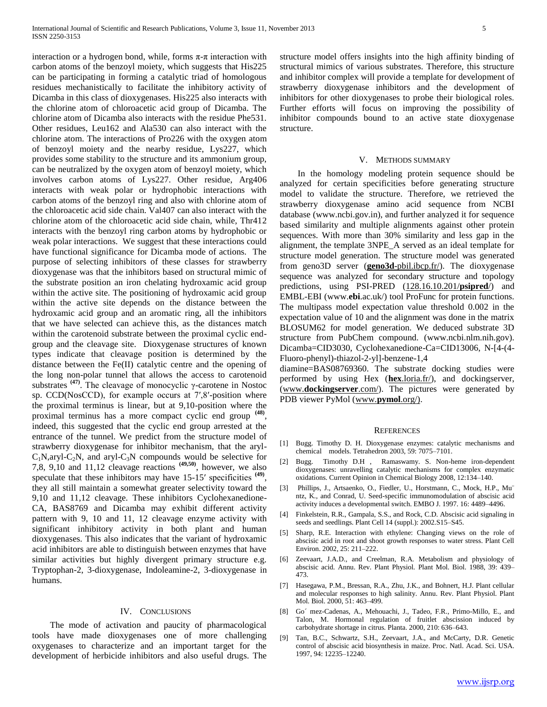interaction or a hydrogen bond, while, forms  $\pi$ - $\pi$  interaction with carbon atoms of the benzoyl moiety, which suggests that His225 can be participating in forming a catalytic triad of homologous residues mechanistically to facilitate the inhibitory activity of Dicamba in this class of dioxygenases. His225 also interacts with the chlorine atom of chloroacetic acid group of Dicamba. The chlorine atom of Dicamba also interacts with the residue Phe531. Other residues, Leu162 and Ala530 can also interact with the chlorine atom. The interactions of Pro226 with the oxygen atom of benzoyl moiety and the nearby residue, Lys227, which provides some stability to the structure and its ammonium group, can be neutralized by the oxygen atom of benzoyl moiety, which involves carbon atoms of Lys227. Other residue, Arg406 interacts with weak polar or hydrophobic interactions with carbon atoms of the benzoyl ring and also with chlorine atom of the chloroacetic acid side chain. Val407 can also interact with the chlorine atom of the chloroacetic acid side chain, while, Thr412 interacts with the benzoyl ring carbon atoms by hydrophobic or weak polar interactions. We suggest that these interactions could have functional significance for Dicamba mode of actions. The purpose of selecting inhibitors of these classes for strawberry dioxygenase was that the inhibitors based on structural mimic of the substrate position an iron chelating hydroxamic acid group within the active site. The positioning of hydroxamic acid group within the active site depends on the distance between the hydroxamic acid group and an aromatic ring, all the inhibitors that we have selected can achieve this, as the distances match within the carotenoid substrate between the proximal cyclic endgroup and the cleavage site. Dioxygenase structures of known types indicate that cleavage position is determined by the distance between the Fe(II) catalytic centre and the opening of the long non-polar tunnel that allows the access to carotenoid substrates **(47)** . The cleavage of monocyclic γ-carotene in Nostoc sp. CCD(NosCCD), for example occurs at 7′,8′-position where the proximal terminus is linear, but at 9,10-position where the proximal terminus has a more compact cyclic end group **(48)** , indeed, this suggested that the cyclic end group arrested at the entrance of the tunnel. We predict from the structure model of strawberry dioxygenase for inhibitor mechanism, that the aryl- $C_1N$ , aryl- $C_2N$ , and aryl- $C_3N$  compounds would be selective for 7,8, 9,10 and 11,12 cleavage reactions **(49,50)**, however, we also speculate that these inhibitors may have 15-15' specificities <sup>(49)</sup>, they all still maintain a somewhat greater selectivity toward the 9,10 and 11,12 cleavage. These inhibitors Cyclohexanedione-CA, BAS8769 and Dicamba may exhibit different activity pattern with 9, 10 and 11, 12 cleavage enzyme activity with significant inhibitory activity in both plant and human dioxygenases. This also indicates that the variant of hydroxamic acid inhibitors are able to distinguish between enzymes that have similar activities but highly divergent primary structure e.g. Tryptophan-2, 3-dioxygenase, Indoleamine-2, 3-dioxygenase in humans.

### IV. CONCLUSIONS

 The mode of activation and paucity of pharmacological tools have made dioxygenases one of more challenging oxygenases to characterize and an important target for the development of herbicide inhibitors and also useful drugs. The structure model offers insights into the high affinity binding of structural mimics of various substrates. Therefore, this structure and inhibitor complex will provide a template for development of strawberry dioxygenase inhibitors and the development of inhibitors for other dioxygenases to probe their biological roles. Further efforts will focus on improving the possibility of inhibitor compounds bound to an active state dioxygenase structure.

#### V. METHODS SUMMARY

 In the homology modeling protein sequence should be analyzed for certain specificities before generating structure model to validate the structure. Therefore, we retrieved the strawberry dioxygenase amino acid sequence from NCBI database (www.ncbi.gov.in), and further analyzed it for sequence based similarity and multiple alignments against other protein sequences. With more than 30% similarity and less gap in the alignment, the template 3NPE\_A served as an ideal template for structure model generation. The structure model was generated from geno3D server (**geno3d**-pbil.ibcp.fr/). The dioxygenase sequence was analyzed for secondary structure and topology predictions, using PSI-PRED (128.16.10.201/**psipred**/) and EMBL-EBI (www.**ebi**.ac.uk/) tool ProFunc for protein functions. The multipass model expectation value threshold 0.002 in the expectation value of 10 and the alignment was done in the matrix BLOSUM62 for model generation. We deduced substrate 3D structure from PubChem compound. (www.ncbi.nlm.nih.gov). Dicamba=CID3030, Cyclohexanedione-Ca=CID13006, N-[4-(4- Fluoro-phenyl)-thiazol-2-yl]-benzene-1,4

diamine=BAS08769360. The substrate docking studies were performed by using Hex (**hex**.loria.fr/), and dockingserver, (www.**dockingserver**.com/). The pictures were generated by PDB viewer PyMol (www.**pymol**.org/).

#### **REFERENCES**

- [1] Bugg. Timothy D. H. Dioxygenase enzymes: catalytic mechanisms and chemical models. Tetrahedron 2003, 59: 7075–7101.
- [2] Bugg. Timothy D.H , Ramaswamy. S. Non-heme iron-dependent dioxygenases: unravelling catalytic mechanisms for complex enzymatic oxidations. Current Opinion in Chemical Biology 2008, 12:134–140.
- [3] Phillips, J., Artsaenko, O., Fiedler, U., Horstmann, C., Mock, H.P., Mu¨ ntz, K., and Conrad, U. Seed-specific immunomodulation of abscisic acid activity induces a developmental switch. EMBO J. 1997. 16: 4489–4496.
- [4] Finkelstein, R.R., Gampala, S.S., and Rock, C.D. Abscisic acid signaling in seeds and seedlings. Plant Cell 14 (suppl.): 2002.S15–S45.
- [5] Sharp, R.E. Interaction with ethylene: Changing views on the role of abscisic acid in root and shoot growth responses to water stress. Plant Cell Environ. 2002, 25: 211–222.
- [6] Zeevaart, J.A.D., and Creelman, R.A. Metabolism and physiology of abscisic acid. Annu. Rev. Plant Physiol. Plant Mol. Biol. 1988, 39: 439– 473.
- [7] Hasegawa, P.M., Bressan, R.A., Zhu, J.K., and Bohnert, H.J. Plant cellular and molecular responses to high salinity. Annu. Rev. Plant Physiol. Plant Mol. Biol. 2000, 51: 463–499.
- [8] Go´ mez-Cadenas, A., Mehouachi, J., Tadeo, F.R., Primo-Millo, E., and Talon, M. Hormonal regulation of fruitlet abscission induced by carbohydrate shortage in citrus. Planta. 2000, 210: 636–643.
- [9] Tan, B.C., Schwartz, S.H., Zeevaart, J.A., and McCarty, D.R. Genetic control of abscisic acid biosynthesis in maize. Proc. Natl. Acad. Sci. USA. 1997, 94: 12235–12240.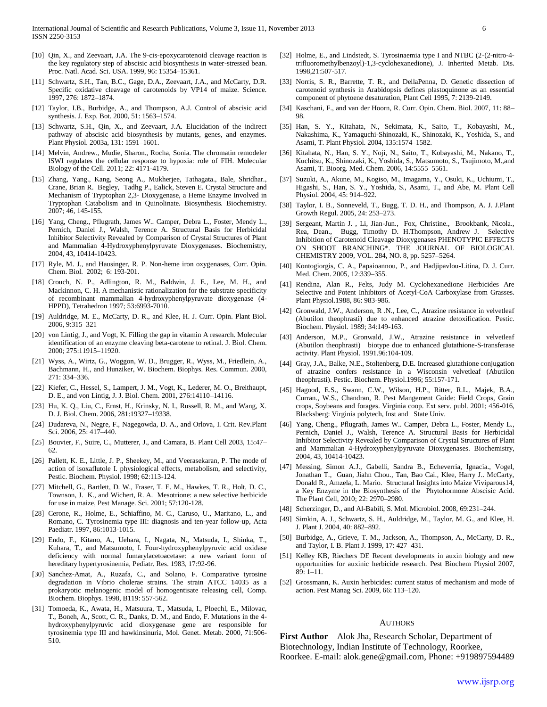- [10] Qin, X., and Zeevaart, J.A. The 9-cis-epoxycarotenoid cleavage reaction is the key regulatory step of abscisic acid biosynthesis in water-stressed bean. Proc. Natl. Acad. Sci. USA. 1999, 96: 15354–15361.
- [11] Schwartz, S.H., Tan, B.C., Gage, D.A., Zeevaart, J.A., and McCarty, D.R. Specific oxidative cleavage of carotenoids by VP14 of maize. Science. 1997, 276: 1872–1874.
- [12] Taylor, I.B., Burbidge, A., and Thompson, A.J. Control of abscisic acid synthesis. J. Exp. Bot. 2000, 51: 1563–1574.
- [13] Schwartz, S.H., Qin, X., and Zeevaart, J.A. Elucidation of the indirect pathway of abscisic acid biosynthesis by mutants, genes, and enzymes. Plant Physiol. 2003a, 131: 1591–1601.
- [14] Melvin, Andrew., Mudie, Sharon., Rocha, Sonia. The chromatin remodeler ISWI regulates the cellular response to hypoxia: role of FIH. Molecular Biology of the Cell. 2011; 22: 4171-4179.
- [15] Zhang, Yang., Kang, Seong A., Mukherjee, Tathagata., Bale, Shridhar., Crane, Brian R. Begley, Tadhg P., Ealick, Steven E. Crystal Structure and Mechanism of Tryptophan 2,3- Dioxygenase, a Heme Enzyme Involved in Tryptophan Catabolism and in Quinolinate. Biosynthesis. Biochemistry. 2007; 46, 145-155.
- [16] Yang, Cheng., Pflugrath, James W.. Camper, Debra L., Foster, Mendy L., Pernich, Daniel J., Walsh, Terence A. Structural Basis for Herbicidal Inhibitor Selectivity Revealed by Comparison of Crystal Structures of Plant and Mammalian 4-Hydroxyphenylpyruvate Dioxygenases. Biochemistry, 2004, 43, 10414-10423.
- [17] Ryle, M. J., and Hausinger, R. P. Non-heme iron oxygenases, Curr. Opin. Chem. Biol. 2002; 6: 193-201.
- [18] Crouch, N. P., Adlington, R. M., Baldwin, J. E., Lee, M. H., and Mackinnon, C. H. A mechanistic rationalization for the substrate specificity of recombinant mammalian 4-hydroxyphenylpyruvate dioxygenase (4- HPPD), Tetrahedron 1997; 53:6993-7010.
- [19] Auldridge, M. E., McCarty, D. R., and Klee, H. J. Curr. Opin. Plant Biol. 2006, 9:315–321
- [20] von Lintig, J., and Vogt, K. Filling the gap in vitamin A research. Molecular identification of an enzyme cleaving beta-carotene to retinal. J. Biol. Chem. 2000; 275:11915–11920.
- [21] Wyss, A., Wirtz, G., Woggon, W. D., Brugger, R., Wyss, M., Friedlein, A., Bachmann, H., and Hunziker, W. Biochem. Biophys. Res. Commun. 2000, 271: 334–336.
- [22] Kiefer, C., Hessel, S., Lampert, J. M., Vogt, K., Lederer, M. O., Breithaupt, D. E., and von Lintig, J. J. Biol. Chem. 2001, 276:14110–14116.
- [23] Hu, K. Q., Liu, C., Ernst, H., Krinsky, N. I., Russell, R. M., and Wang, X. D. J. Biol. Chem. 2006, 281:19327–19338.
- [24] Dudareva, N., Negre, F., Nagegowda, D. A., and Orlova, I. Crit. Rev.Plant Sci. 2006, 25: 417–440.
- [25] Bouvier, F., Suire, C., Mutterer, J., and Camara, B. Plant Cell 2003, 15:47– 62.
- [26] Pallett, K. E., Little, J. P., Sheekey, M., and Veerasekaran, P. The mode of action of isoxaflutole I. physiological effects, metabolism, and selectivity, Pestic. Biochem. Physiol. 1998; 62:113-124.
- [27] Mitchell, G., Bartlett, D. W., Fraser, T. E. M., Hawkes, T. R., Holt, D. C., Townson, J. K., and Wichert, R. A. Mesotrione: a new selective herbicide for use in maize, Pest Manage. Sci. 2001; 57:120-128.
- [28] Cerone, R., Holme, E., Schiaffino, M. C., Caruso, U., Maritano, L., and Romano, C. Tyrosinemia type III: diagnosis and ten-year follow-up, Acta Paediatr. 1997, 86:1013-1015.
- [29] Endo, F., Kitano, A., Uehara, I., Nagata, N., Matsuda, I., Shinka, T., Kuhara, T., and Matsumoto, I. Four-hydroxyphenylpyruvic acid oxidase deficiency with normal fumarylacetoacetase: a new variant form of hereditary hypertyrosinemia, Pediatr. Res. 1983, 17:92-96.
- [30] Sanchez-Amat, A., Ruzafa, C., and Solano, F. Comparative tyrosine degradation in Vibrio cholerae strains. The strain ATCC 14035 as a prokaryotic melanogenic model of homogentisate releasing cell, Comp. Biochem. Biophys. 1998, B119: 557-562.
- [31] Tomoeda, K., Awata, H., Matsuura, T., Matsuda, I., Ploechl, E., Milovac, T., Boneh, A., Scott, C. R., Danks, D. M., and Endo, F. Mutations in the 4 hydroxyphenylpyruvic acid dioxygenase gene are responsible for tyrosinemia type III and hawkinsinuria, Mol. Genet. Metab. 2000, 71:506- 510.
- [32] Holme, E., and Lindstedt, S. Tyrosinaemia type I and NTBC (2-(2-nitro-4trifluoromethylbenzoyl)-1,3-cyclohexanedione), J. Inherited Metab. Dis. 1998,21:507-517.
- [33] Norris, S. R., Barrette, T. R., and DellaPenna, D. Genetic dissection of carotenoid synthesis in Arabidopsis defines plastoquinone as an essential component of phytoene desaturation, Plant Cell 1995, 7: 2139-2149.
- [34] Kaschani, F., and van der Hoorn, R. Curr. Opin. Chem. Biol. 2007, 11: 88– 98.
- [35] Han, S. Y., Kitahata, N., Sekimata, K., Saito, T., Kobayashi, M., Nakashima, K., Yamaguchi-Shinozaki, K., Shinozaki, K., Yoshida, S., and Asami, T. Plant Physiol. 2004, 135:1574–1582.
- [36] Kitahata, N., Han, S. Y., Noji, N., Saito, T., Kobayashi, M., Nakano, T., Kuchitsu, K., Shinozaki, K., Yoshida, S., Matsumoto, S., Tsujimoto, M.,and Asami, T. Bioorg. Med. Chem. 2006, 14:5555–5561.
- [37] Suzuki, A., Akune, M., Kogiso, M., Imagama, Y., Osuki, K., Uchiumi, T., Higashi, S., Han, S. Y., Yoshida, S., Asami, T., and Abe, M. Plant Cell Physiol. 2004, 45: 914–922.
- [38] Taylor, I. B., Sonneveld, T., Bugg, T. D. H., and Thompson, A. J. J.Plant Growth Regul. 2005, 24: 253–273.
- [39] Sergeant, Martin J. , Li, Jian-Jun., Fox, Christine., Brookbank, Nicola., Rea, Dean., Bugg, Timothy D. H.Thompson, Andrew J. Selective Inhibition of Carotenoid Cleavage Dioxygenases PHENOTYPIC EFFECTS ON SHOOT BRANCHING\*. THE JOURNAL OF BIOLOGICAL CHEMISTRY 2009, VOL. 284, NO. 8, pp. 5257–5264.
- [40] Kontogiorgis, C. A., Papaioannou, P., and Hadjipavlou-Litina, D. J. Curr. Med. Chem. 2005, 12:339–355.
- [41] Rendina, Alan R., Felts, Judy M. Cyclohexanedione Herbicides Are Selective and Potent Inhibitors of Acetyl-CoA Carboxylase from Grasses. Plant Physiol.1988, 86: 983-986.
- [42] Gronwald, J.W., Anderson, R.N., Lee, C., Atrazine resistance in velvetleaf (Abutilon theophrasti) due to enhanced atrazine detoxification. Pestic. Biochem. Physiol. 1989; 34:149-163.
- [43] Anderson, M.P., Gronwald, J.W., Atrazine resistance in velvetleaf (Abutilon theophrasti) biotype due to enhanced glutathione-S-transferase activity. Plant Physiol. 1991.96:104-109.
- [44] Gray, J.A., Balke, N.E., Stoltenberg, D.E. Increased glutathione conjugation of atrazine confers resistance in a Wisconsin velvetleaf (Abutilon theophrasti). Pestic. Biochem. Physiol.1996; 55:157-171.
- [45] Hagood, E.S., Swann, C.W., Wilson, H.P., Ritter, R.L., Majek, B.A., Curran., W.S., Chandran, R. Pest Mangement Guide: Field Crops, Grain crops, Soybeans and forages. Virginia coop. Ext serv. publ. 2001; 456-016, Blacksberg: Virginia polytech, Inst and State Univ.
- [46] Yang, Cheng., Pflugrath, James W.. Camper, Debra L., Foster, Mendy L., Pernich, Daniel J., Walsh, Terence A. Structural Basis for Herbicidal Inhibitor Selectivity Revealed by Comparison of Crystal Structures of Plant and Mammalian 4-Hydroxyphenylpyruvate Dioxygenases. Biochemistry, 2004, 43, 10414-10423.
- [47] Messing, Simon A.J., Gabelli, Sandra B., Echeverria, Ignacia., Vogel, Jonathan T., Guan, Jiahn Chou., Tan, Bao Cai., Klee, Harry J.. McCarty, Donald R., Amzela, L. Mario. Structural Insights into Maize Viviparous14, a Key Enzyme in the Biosynthesis of the Phytohormone Abscisic Acid. The Plant Cell, 2010; 22: 2970–2980.
- [48] Scherzinger, D., and Al-Babili, S. Mol. Microbiol. 2008, 69:231-244.
- [49] Simkin, A. J., Schwartz, S. H., Auldridge, M., Taylor, M. G., and Klee, H. J. Plant J. 2004, 40: 882–892.
- [50] Burbidge, A., Grieve, T. M., Jackson, A., Thompson, A., McCarty, D. R., and Taylor, I. B. Plant J. 1999, 17: 427–431.
- [51] Kelley KB, Riechers DE Recent developments in auxin biology and new opportunities for auxinic herbicide research. Pest Biochem Physiol 2007, 89: 1–11.
- [52] Grossmann, K. Auxin herbicides: current status of mechanism and mode of action. Pest Manag Sci. 2009, 66: 113–120.

# **AUTHORS**

**First Author** – Alok Jha, Research Scholar, Department of Biotechnology, Indian Institute of Technology, Roorkee, Roorkee. E-mail: alok.gene@gmail.com, Phone: +919897594489